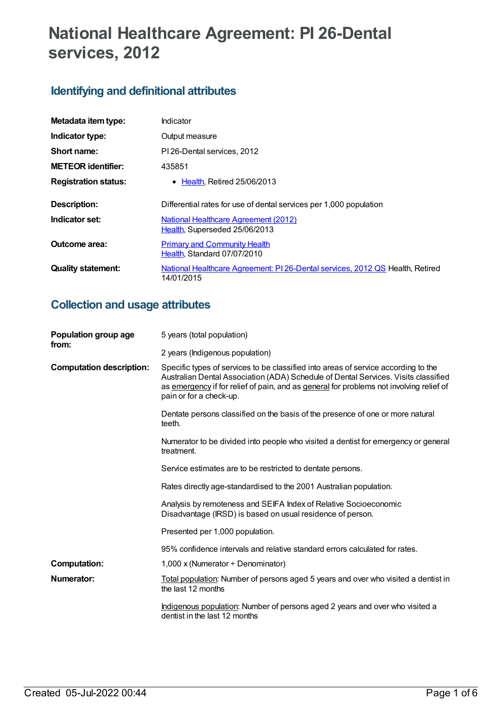# **National Healthcare Agreement: PI 26-Dental services, 2012**

## **Identifying and definitional attributes**

| Metadata item type:         | Indicator                                                                                   |
|-----------------------------|---------------------------------------------------------------------------------------------|
| Indicator type:             | Output measure                                                                              |
| Short name:                 | PI 26-Dental services, 2012                                                                 |
| <b>METEOR</b> identifier:   | 435851                                                                                      |
| <b>Registration status:</b> | $\bullet$ Health. Retired 25/06/2013                                                        |
| Description:                | Differential rates for use of dental services per 1,000 population                          |
| Indicator set:              | <b>National Healthcare Agreement (2012)</b><br>Health, Superseded 25/06/2013                |
| Outcome area:               | <b>Primary and Community Health</b><br>Health, Standard 07/07/2010                          |
| <b>Quality statement:</b>   | National Healthcare Agreement: PI 26-Dental services, 2012 QS Health, Retired<br>14/01/2015 |

## **Collection and usage attributes**

| Population group age<br>from:   | 5 years (total population)                                                                                                                                                                                                                                                                     |
|---------------------------------|------------------------------------------------------------------------------------------------------------------------------------------------------------------------------------------------------------------------------------------------------------------------------------------------|
|                                 | 2 years (Indigenous population)                                                                                                                                                                                                                                                                |
| <b>Computation description:</b> | Specific types of services to be classified into areas of service according to the<br>Australian Dental Association (ADA) Schedule of Dental Services. Visits classified<br>as emergency if for relief of pain, and as general for problems not involving relief of<br>pain or for a check-up. |
|                                 | Dentate persons classified on the basis of the presence of one or more natural<br>teeth.                                                                                                                                                                                                       |
|                                 | Numerator to be divided into people who visited a dentist for emergency or general<br>treatment.                                                                                                                                                                                               |
|                                 | Service estimates are to be restricted to dentate persons.                                                                                                                                                                                                                                     |
|                                 | Rates directly age-standardised to the 2001 Australian population.                                                                                                                                                                                                                             |
|                                 | Analysis by remoteness and SEIFA Index of Relative Socioeconomic<br>Disadvantage (IRSD) is based on usual residence of person.                                                                                                                                                                 |
|                                 | Presented per 1,000 population.                                                                                                                                                                                                                                                                |
|                                 | 95% confidence intervals and relative standard errors calculated for rates.                                                                                                                                                                                                                    |
| <b>Computation:</b>             | 1,000 x (Numerator $\div$ Denominator)                                                                                                                                                                                                                                                         |
| Numerator:                      | Total population: Number of persons aged 5 years and over who visited a dentist in<br>the last 12 months                                                                                                                                                                                       |
|                                 | Indigenous population: Number of persons aged 2 years and over who visited a<br>dentist in the last 12 months                                                                                                                                                                                  |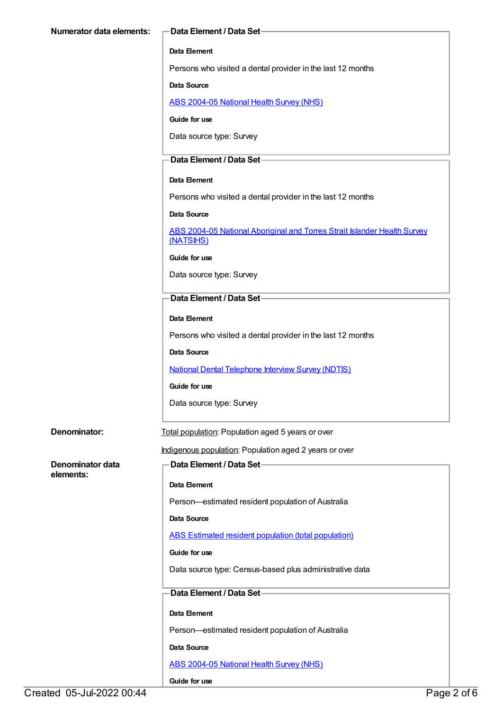#### **Data Element**

Persons who visited a dental provider in the last 12 months

#### **Data Source**

ABS [2004-05](https://meteor.aihw.gov.au/content/394145) National Health Survey (NHS)

**Guide for use**

Data source type: Survey

#### **Data Element / Data Set**

#### **Data Element**

Persons who visited a dental provider in the last 12 months

#### **Data Source**

ABS 2004-05 National Aboriginal and Torres Strait Islander Health Survey [\(NATSIHS\)](https://meteor.aihw.gov.au/content/394146)

#### **Guide for use**

Data source type: Survey

#### **Data Element / Data Set**

#### **Data Element**

Persons who visited a dental provider in the last 12 months

#### **Data Source**

National Dental [Telephone](https://meteor.aihw.gov.au/content/394904) Interview Survey (NDTIS)

#### **Guide for use**

Data source type: Survey

**Denominator:** Total population: Population aged 5 years or over

#### Indigenous population: Population aged 2 years or over

**Denominator data elements:**

# **Data Element / Data Set**

### **Data Element**

Person—estimated resident population of Australia

#### **Data Source**

ABS Estimated resident population (total [population\)](https://meteor.aihw.gov.au/content/393625)

#### **Guide for use**

Data source type: Census-based plus administrative data

### **Data Element / Data Set**

#### **Data Element**

Person—estimated resident population of Australia

#### **Data Source**

ABS [2004-05](https://meteor.aihw.gov.au/content/394145) National Health Survey (NHS)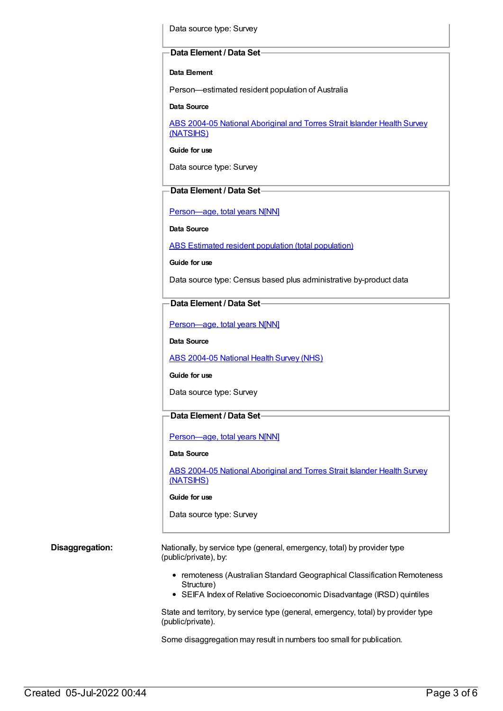Data source type: Survey

#### **Data Element / Data Set**

#### **Data Element**

Person—estimated resident population of Australia

**Data Source**

ABS 2004-05 National [Aboriginal](https://meteor.aihw.gov.au/content/394146) and Torres Strait Islander Health Survey (NATSIHS)

**Guide for use**

Data source type: Survey

### **Data Element / Data Set**

[Person—age,](https://meteor.aihw.gov.au/content/303794) total years N[NN]

**Data Source**

ABS Estimated resident population (total [population\)](https://meteor.aihw.gov.au/content/393625)

**Guide for use**

Data source type: Census based plus administrative by-product data

#### **Data Element / Data Set**

[Person—age,](https://meteor.aihw.gov.au/content/303794) total years N[NN]

**Data Source**

ABS [2004-05](https://meteor.aihw.gov.au/content/394145) National Health Survey (NHS)

#### **Guide for use**

Data source type: Survey

#### **Data Element / Data Set**

[Person—age,](https://meteor.aihw.gov.au/content/303794) total years N[NN]

#### **Data Source**

ABS 2004-05 National [Aboriginal](https://meteor.aihw.gov.au/content/394146) and Torres Strait Islander Health Survey (NATSIHS)

#### **Guide for use**

Data source type: Survey

**Disaggregation:** Nationally, by service type (general, emergency, total) by provider type (public/private), by:

- remoteness (Australian Standard Geographical Classification Remoteness Structure)
- SEIFA Index of Relative Socioeconomic Disadvantage (IRSD) quintiles

State and territory, by service type (general, emergency, total) by provider type (public/private).

Some disaggregation may result in numbers too small for publication.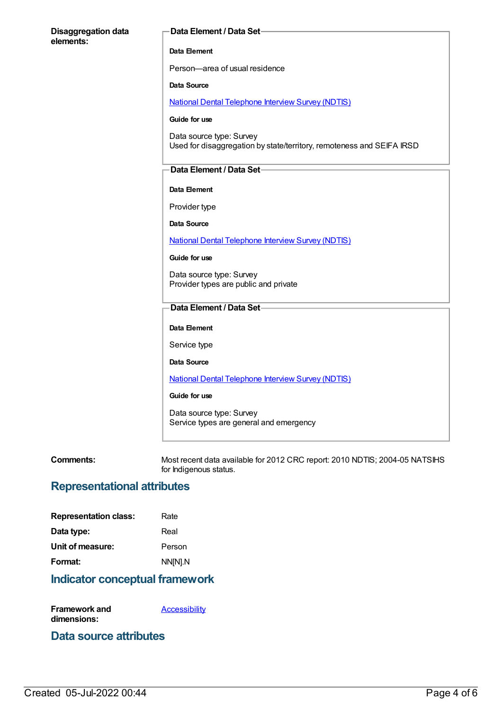| <b>Disaggregation data</b><br>elements: | <b>Data Element / Data Set-</b>                                                                   |
|-----------------------------------------|---------------------------------------------------------------------------------------------------|
|                                         | Data Element                                                                                      |
|                                         | Person-area of usual residence                                                                    |
|                                         | <b>Data Source</b>                                                                                |
|                                         | <b>National Dental Telephone Interview Survey (NDTIS)</b>                                         |
|                                         | Guide for use                                                                                     |
|                                         | Data source type: Survey<br>Used for disaggregation by state/territory, remoteness and SEIFA IRSD |
|                                         | Data Element / Data Set-                                                                          |
|                                         | Data Element                                                                                      |
|                                         | Provider type                                                                                     |
|                                         | <b>Data Source</b>                                                                                |
|                                         | <b>National Dental Telephone Interview Survey (NDTIS)</b>                                         |
|                                         | Guide for use                                                                                     |
|                                         | Data source type: Survey<br>Provider types are public and private                                 |
|                                         | <b>Data Element / Data Set-</b>                                                                   |
|                                         | Data Element                                                                                      |
|                                         | Service type                                                                                      |
|                                         | <b>Data Source</b>                                                                                |
|                                         | <b>National Dental Telephone Interview Survey (NDTIS)</b>                                         |
|                                         | Guide for use                                                                                     |
|                                         | Data source type: Survey<br>Service types are general and emergency                               |
|                                         |                                                                                                   |

**Comments:** Most recent data available for 2012 CRC report: 2010 NDTIS; 2004-05 NATSIHS most recent data available.

## **Representational attributes**

| <b>Representation class:</b> | Rate    |
|------------------------------|---------|
| Data type:                   | Real    |
| Unit of measure:             | Person  |
| Format:                      | NN[N].N |

## **Indicator conceptual framework**

**Framework and dimensions: [Accessibility](https://meteor.aihw.gov.au/content/392591)** 

## **Data source attributes**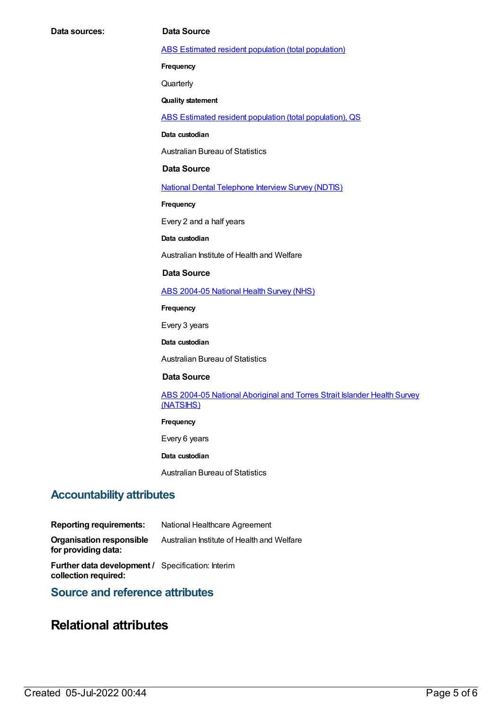ABS Estimated resident population (total [population\)](https://meteor.aihw.gov.au/content/393625)

**Frequency**

**Quarterly** 

**Quality statement**

ABS Estimated resident population (total [population\),](https://meteor.aihw.gov.au/content/449216) QS

**Data custodian**

Australian Bureau of Statistics

#### **Data Source**

National Dental [Telephone](https://meteor.aihw.gov.au/content/394904) Interview Survey (NDTIS)

**Frequency**

Every 2 and a half years

**Data custodian**

Australian Institute of Health and Welfare

#### **Data Source**

ABS [2004-05](https://meteor.aihw.gov.au/content/394145) National Health Survey (NHS)

**Frequency**

Every 3 years

**Data custodian**

Australian Bureau of Statistics

#### **Data Source**

ABS 2004-05 National [Aboriginal](https://meteor.aihw.gov.au/content/394146) and Torres Strait Islander Health Survey (NATSIHS)

#### **Frequency**

Every 6 years

**Data custodian**

Australian Bureau of Statistics

### **Accountability attributes**

**Reporting requirements:** National Healthcare Agreement **Organisation responsible for providing data:** Australian Institute of Health and Welfare **Further data development /** Specification: Interim **collection required:**

## **Source and reference attributes**

## **Relational attributes**